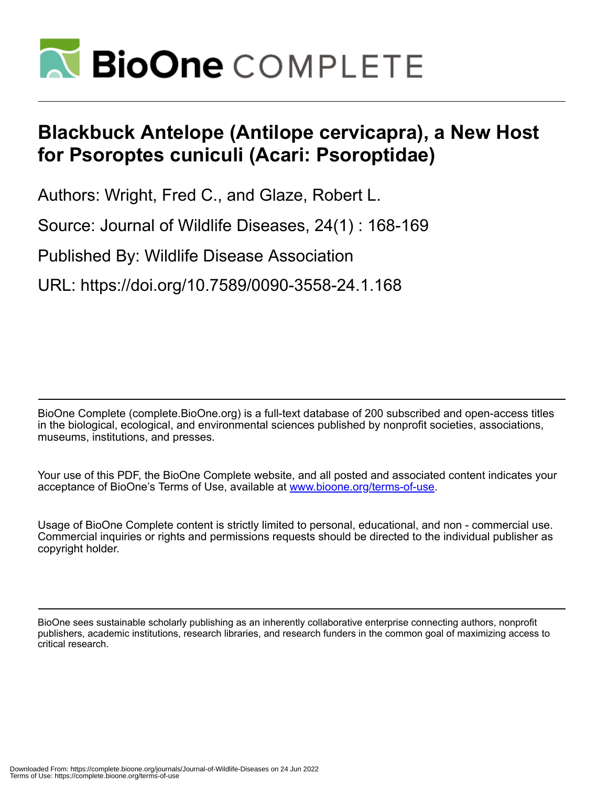

## **Blackbuck Antelope (Antilope cervicapra), a New Host for Psoroptes cuniculi (Acari: Psoroptidae)**

Authors: Wright, Fred C., and Glaze, Robert L.

Source: Journal of Wildlife Diseases, 24(1) : 168-169

Published By: Wildlife Disease Association

URL: https://doi.org/10.7589/0090-3558-24.1.168

BioOne Complete (complete.BioOne.org) is a full-text database of 200 subscribed and open-access titles in the biological, ecological, and environmental sciences published by nonprofit societies, associations, museums, institutions, and presses.

Your use of this PDF, the BioOne Complete website, and all posted and associated content indicates your acceptance of BioOne's Terms of Use, available at www.bioone.org/terms-of-use.

Usage of BioOne Complete content is strictly limited to personal, educational, and non - commercial use. Commercial inquiries or rights and permissions requests should be directed to the individual publisher as copyright holder.

BioOne sees sustainable scholarly publishing as an inherently collaborative enterprise connecting authors, nonprofit publishers, academic institutions, research libraries, and research funders in the common goal of maximizing access to critical research.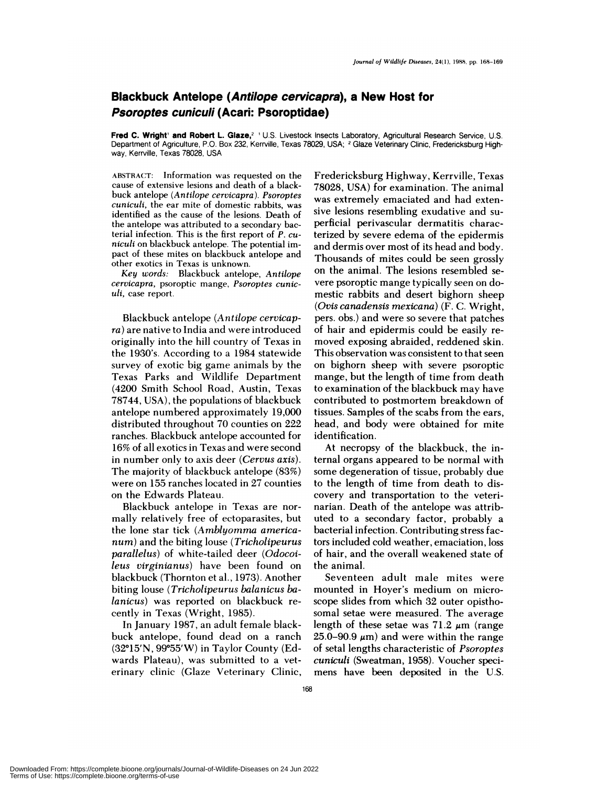## **Blackbuck Antelope (Antilope cervicapra), a New Host for Psoroptes cuniculi (Acari: Psoroptidae)**

Fred C. Wright' and Robert L. Glaze,<sup>2</sup> U.S. Livestock Insects Laboratory, Agricultural Research Service, U.S. Department of Agriculture, P.O. Box 232, Kerrville, Texas 78029, USA; **<sup>2</sup>** Glaze Veterinary Clinic, Fredericksburg High way, Kerrville, Texas 78028, USA

**ABSTRACT: Information** was requested on the cause of extensive lesions and death of a blackbuck antelope *(Antilope cervicapra). Psoroptes cunicubi,* the ear mite of domestic rabbits, was identified as the cause of the lesions. Death of the antelope was attributed to a secondary bacterial infection. This is the first report of **P. cu** *niculi* **on** blackbuck antelope. The potential impact of these mites on blackbuck antelope and other exotics in Texas is unknown.

*Key words:* Blackbuck antelope, *Antilope cervicapra,* psoroptic mange, *Psoroptes cunic uli,* **case report.**

Blackbuck antelope *(Antilope cervicapra)* are native to India and were introduced originally into the hill country of Texas in the 1930's. According to a 1984 statewide survey of exotic big game animals by the Texas Parks and Wildlife Department (4200 Smith School Road, Austin, Texas 78744, USA), the populations of blackbuck antelope numbered approximately 19,000 distributed throughout 70 counties on 222 ranches. Blackbuck antelope accounted for 16% of all exotics in Texas and were second in number only to axis deer *(Cervus axis).* The majority of blackbuck antelope (83%) were on 155 ranches located in 27 counties on the Edwards Plateau.

Blackbuck antelope in Texas are nor mally relatively free of ectoparasites, but the lone star tick *(Amblyomrna americanum)* and the biting louse *(Tricholipeurus parallelus)* of white-tailed deer *(Odocoileus virginianus)* have been found on blackbuck (Thornton et al., 1973). Another biting louse *(Tricholipeurus balanicus halanicus)* was reported on blackbuck re cently in Texas (Wright, 1985).

In January 1987, an adult female blackbuck antelope, found dead on a ranch (32°15'N, 99°55'W) in Taylor County (Edwards Plateau), was submitted to a veterinary clinic (Glaze Veterinary Clinic, Fredericksburg Highway, Kerrville, Texas 78028, USA) for examination. The animal was extremely emaciated and had extensive lesions resembling exudative and su perficial perivascular dermatitis characterized by severe edema of the epidermis and dermis over most of its head and body. Thousands of mites could be seen grossly on the animal. The lesions resembled se vere psoroptic mange typically seen on domestic rabbits and desert bighorn sheep *(Ovis canadensis mexicana)* (F. C. Wright, pers. obs.) and were so severe that patches of hair and epidermis could be easily re moved exposing abraided, reddened skin. This observation was consistent to that seen on bighorn sheep with severe psoroptic mange, but the length of time from death to examination of the blackbuck may have contributed to postmortem breakdown of tissues. Samples of the scabs from the ears, head, and body were obtained for mite identification.

At necropsy of the blackbuck, the internal organs appeared to be normal with some degeneration of tissue, probably due to the length of time from death to discovery and transportation to the veterinarian. Death of the antelope was attributed to a secondary factor, probably a bacterial infection. Contributing stress factors included cold weather, emaciation, loss of hair, and the overall weakened state of the animal.

Seventeen adult male mites were mounted in Hoyer's medium on microscope slides from which 32 outer opisthosomal setae were measured. The average length of these setae was  $71.2 \mu m$  (range 25.0–90.9  $\mu$ m) and were within the range of setal lengths characteristic of *Psoroptes cuniculi* (Sweatman, 1958). Voucher speci mens have been deposited in the U.S.